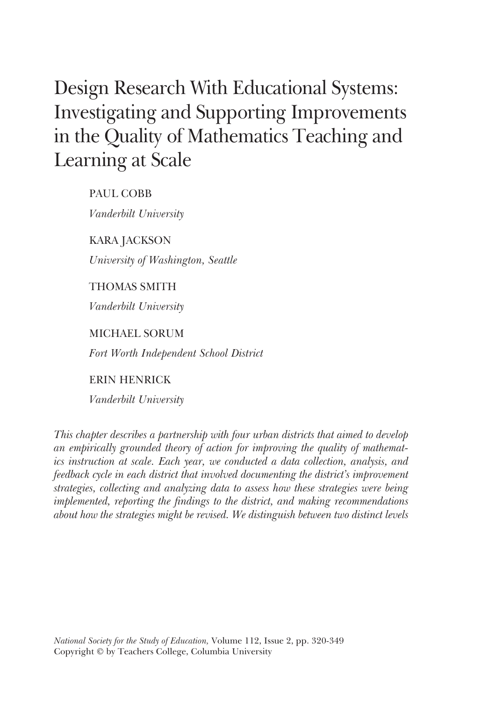# Design Research With Educational Systems: Investigating and Supporting Improvements in the Quality of Mathematics Teaching and Learning at Scale

PAUL COBB *Vanderbilt University*

KARA JACKSON *University of Washington, Seattle*

THOMAS SMITH

*Vanderbilt University*

MICHAEL SORUM

*Fort Worth Independent School District*

ERIN HENRICK

*Vanderbilt University*

*This chapter describes a partnership with four urban districts that aimed to develop an empirically grounded theory of action for improving the quality of mathematics instruction at scale. Each year, we conducted a data collection, analysis, and feedback cycle in each district that involved documenting the district's improvement strategies, collecting and analyzing data to assess how these strategies were being implemented, reporting the findings to the district, and making recommendations about how the strategies might be revised. We distinguish between two distinct levels*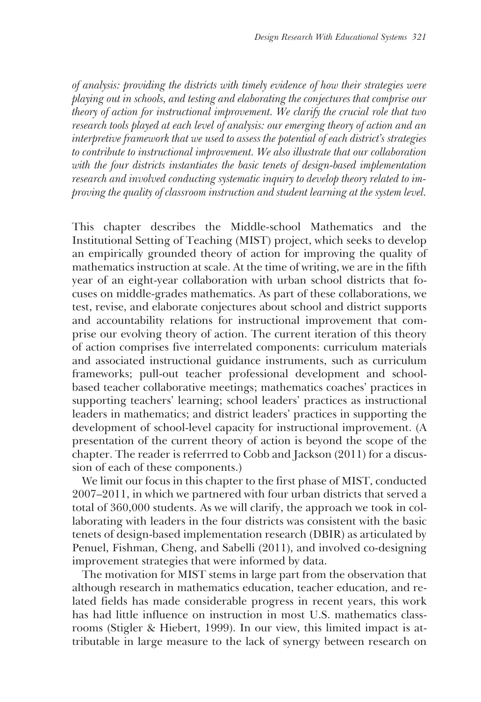*of analysis: providing the districts with timely evidence of how their strategies were playing out in schools, and testing and elaborating the conjectures that comprise our theory of action for instructional improvement. We clarify the crucial role that two research tools played at each level of analysis: our emerging theory of action and an interpretive framework that we used to assess the potential of each district's strategies to contribute to instructional improvement. We also illustrate that our collaboration with the four districts instantiates the basic tenets of design-based implementation research and involved conducting systematic inquiry to develop theory related to improving the quality of classroom instruction and student learning at the system level.*

This chapter describes the Middle-school Mathematics and the Institutional Setting of Teaching (MIST) project, which seeks to develop an empirically grounded theory of action for improving the quality of mathematics instruction at scale. At the time of writing, we are in the fifth year of an eight-year collaboration with urban school districts that focuses on middle-grades mathematics. As part of these collaborations, we test, revise, and elaborate conjectures about school and district supports and accountability relations for instructional improvement that comprise our evolving theory of action. The current iteration of this theory of action comprises five interrelated components: curriculum materials and associated instructional guidance instruments, such as curriculum frameworks; pull-out teacher professional development and schoolbased teacher collaborative meetings; mathematics coaches' practices in supporting teachers' learning; school leaders' practices as instructional leaders in mathematics; and district leaders' practices in supporting the development of school-level capacity for instructional improvement. (A presentation of the current theory of action is beyond the scope of the chapter. The reader is referrred to Cobb and Jackson (2011) for a discussion of each of these components.)

We limit our focus in this chapter to the first phase of MIST, conducted 2007–2011, in which we partnered with four urban districts that served a total of 360,000 students. As we will clarify, the approach we took in collaborating with leaders in the four districts was consistent with the basic tenets of design-based implementation research (DBIR) as articulated by Penuel, Fishman, Cheng, and Sabelli (2011), and involved co-designing improvement strategies that were informed by data.

The motivation for MIST stems in large part from the observation that although research in mathematics education, teacher education, and related fields has made considerable progress in recent years, this work has had little influence on instruction in most U.S. mathematics classrooms (Stigler & Hiebert, 1999). In our view, this limited impact is attributable in large measure to the lack of synergy between research on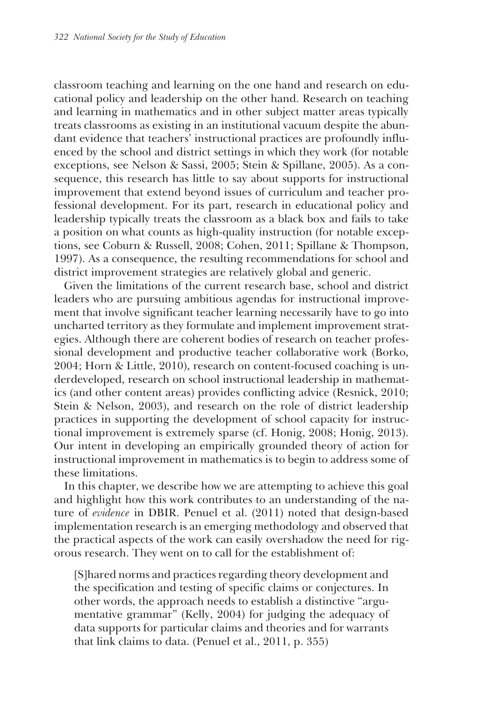classroom teaching and learning on the one hand and research on educational policy and leadership on the other hand. Research on teaching and learning in mathematics and in other subject matter areas typically treats classrooms as existing in an institutional vacuum despite the abundant evidence that teachers' instructional practices are profoundly influenced by the school and district settings in which they work (for notable exceptions, see Nelson & Sassi, 2005; Stein & Spillane, 2005). As a consequence, this research has little to say about supports for instructional improvement that extend beyond issues of curriculum and teacher professional development. For its part, research in educational policy and leadership typically treats the classroom as a black box and fails to take a position on what counts as high-quality instruction (for notable exceptions, see Coburn & Russell, 2008; Cohen, 2011; Spillane & Thompson, 1997). As a consequence, the resulting recommendations for school and district improvement strategies are relatively global and generic.

Given the limitations of the current research base, school and district leaders who are pursuing ambitious agendas for instructional improvement that involve significant teacher learning necessarily have to go into uncharted territory as they formulate and implement improvement strategies. Although there are coherent bodies of research on teacher professional development and productive teacher collaborative work (Borko, 2004; Horn & Little, 2010), research on content-focused coaching is underdeveloped, research on school instructional leadership in mathematics (and other content areas) provides conflicting advice (Resnick, 2010; Stein & Nelson, 2003), and research on the role of district leadership practices in supporting the development of school capacity for instructional improvement is extremely sparse (cf. Honig, 2008; Honig, 2013). Our intent in developing an empirically grounded theory of action for instructional improvement in mathematics is to begin to address some of these limitations.

In this chapter, we describe how we are attempting to achieve this goal and highlight how this work contributes to an understanding of the nature of *evidence* in DBIR. Penuel et al. (2011) noted that design-based implementation research is an emerging methodology and observed that the practical aspects of the work can easily overshadow the need for rigorous research. They went on to call for the establishment of:

[S]hared norms and practices regarding theory development and the specification and testing of specific claims or conjectures. In other words, the approach needs to establish a distinctive "argumentative grammar" (Kelly, 2004) for judging the adequacy of data supports for particular claims and theories and for warrants that link claims to data. (Penuel et al., 2011, p. 355)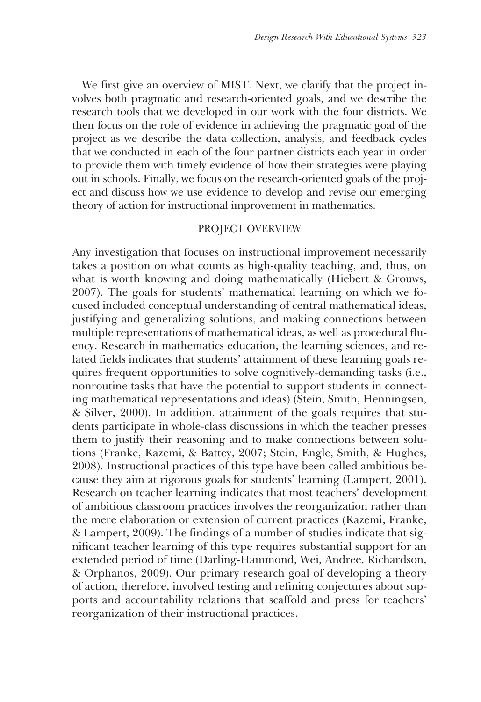We first give an overview of MIST. Next, we clarify that the project involves both pragmatic and research-oriented goals, and we describe the research tools that we developed in our work with the four districts. We then focus on the role of evidence in achieving the pragmatic goal of the project as we describe the data collection, analysis, and feedback cycles that we conducted in each of the four partner districts each year in order to provide them with timely evidence of how their strategies were playing out in schools. Finally, we focus on the research-oriented goals of the project and discuss how we use evidence to develop and revise our emerging theory of action for instructional improvement in mathematics.

## PROJECT OVERVIEW

Any investigation that focuses on instructional improvement necessarily takes a position on what counts as high-quality teaching, and, thus, on what is worth knowing and doing mathematically (Hiebert & Grouws, 2007). The goals for students' mathematical learning on which we focused included conceptual understanding of central mathematical ideas, justifying and generalizing solutions, and making connections between multiple representations of mathematical ideas, as well as procedural fluency. Research in mathematics education, the learning sciences, and related fields indicates that students' attainment of these learning goals requires frequent opportunities to solve cognitively-demanding tasks (i.e., nonroutine tasks that have the potential to support students in connecting mathematical representations and ideas) (Stein, Smith, Henningsen, & Silver, 2000). In addition, attainment of the goals requires that students participate in whole-class discussions in which the teacher presses them to justify their reasoning and to make connections between solutions (Franke, Kazemi, & Battey, 2007; Stein, Engle, Smith, & Hughes, 2008). Instructional practices of this type have been called ambitious because they aim at rigorous goals for students' learning (Lampert, 2001). Research on teacher learning indicates that most teachers' development of ambitious classroom practices involves the reorganization rather than the mere elaboration or extension of current practices (Kazemi, Franke, & Lampert, 2009). The findings of a number of studies indicate that significant teacher learning of this type requires substantial support for an extended period of time (Darling-Hammond, Wei, Andree, Richardson, & Orphanos, 2009). Our primary research goal of developing a theory of action, therefore, involved testing and refining conjectures about supports and accountability relations that scaffold and press for teachers' reorganization of their instructional practices.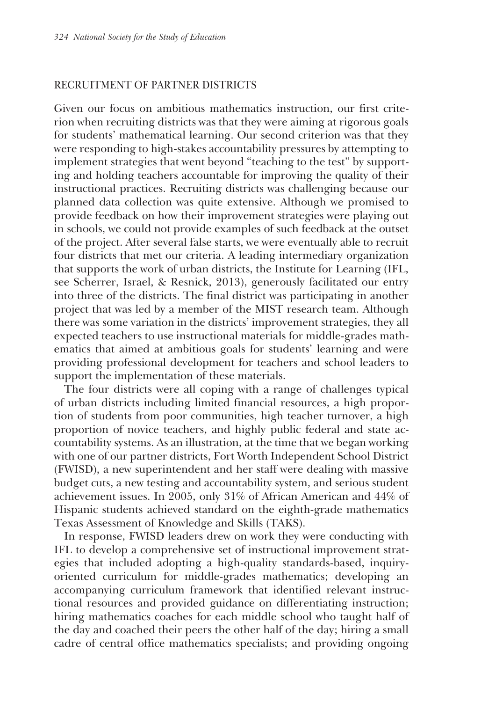## RECRUITMENT OF PARTNER DISTRICTS

Given our focus on ambitious mathematics instruction, our first criterion when recruiting districts was that they were aiming at rigorous goals for students' mathematical learning. Our second criterion was that they were responding to high-stakes accountability pressures by attempting to implement strategies that went beyond "teaching to the test" by supporting and holding teachers accountable for improving the quality of their instructional practices. Recruiting districts was challenging because our planned data collection was quite extensive. Although we promised to provide feedback on how their improvement strategies were playing out in schools, we could not provide examples of such feedback at the outset of the project. After several false starts, we were eventually able to recruit four districts that met our criteria. A leading intermediary organization that supports the work of urban districts, the Institute for Learning (IFL, see Scherrer, Israel, & Resnick, 2013), generously facilitated our entry into three of the districts. The final district was participating in another project that was led by a member of the MIST research team. Although there was some variation in the districts' improvement strategies, they all expected teachers to use instructional materials for middle-grades mathematics that aimed at ambitious goals for students' learning and were providing professional development for teachers and school leaders to support the implementation of these materials.

The four districts were all coping with a range of challenges typical of urban districts including limited financial resources, a high proportion of students from poor communities, high teacher turnover, a high proportion of novice teachers, and highly public federal and state accountability systems. As an illustration, at the time that we began working with one of our partner districts, Fort Worth Independent School District (FWISD), a new superintendent and her staff were dealing with massive budget cuts, a new testing and accountability system, and serious student achievement issues. In 2005, only 31% of African American and 44% of Hispanic students achieved standard on the eighth-grade mathematics Texas Assessment of Knowledge and Skills (TAKS).

In response, FWISD leaders drew on work they were conducting with IFL to develop a comprehensive set of instructional improvement strategies that included adopting a high-quality standards-based, inquiryoriented curriculum for middle-grades mathematics; developing an accompanying curriculum framework that identified relevant instructional resources and provided guidance on differentiating instruction; hiring mathematics coaches for each middle school who taught half of the day and coached their peers the other half of the day; hiring a small cadre of central office mathematics specialists; and providing ongoing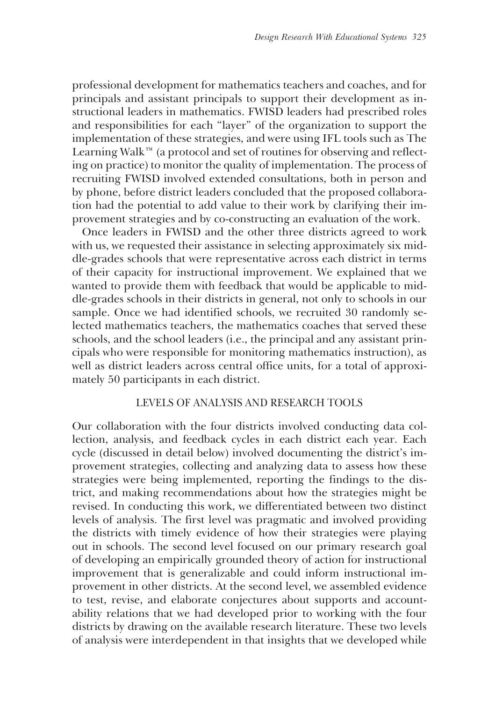professional development for mathematics teachers and coaches, and for principals and assistant principals to support their development as instructional leaders in mathematics. FWISD leaders had prescribed roles and responsibilities for each "layer" of the organization to support the implementation of these strategies, and were using IFL tools such as The Learning Walk™ (a protocol and set of routines for observing and reflecting on practice) to monitor the quality of implementation. The process of recruiting FWISD involved extended consultations, both in person and by phone, before district leaders concluded that the proposed collaboration had the potential to add value to their work by clarifying their improvement strategies and by co-constructing an evaluation of the work.

Once leaders in FWISD and the other three districts agreed to work with us, we requested their assistance in selecting approximately six middle-grades schools that were representative across each district in terms of their capacity for instructional improvement. We explained that we wanted to provide them with feedback that would be applicable to middle-grades schools in their districts in general, not only to schools in our sample. Once we had identified schools, we recruited 30 randomly selected mathematics teachers, the mathematics coaches that served these schools, and the school leaders (i.e., the principal and any assistant principals who were responsible for monitoring mathematics instruction), as well as district leaders across central office units, for a total of approximately 50 participants in each district.

## LEVELS OF ANALYSIS AND RESEARCH TOOLS

Our collaboration with the four districts involved conducting data collection, analysis, and feedback cycles in each district each year. Each cycle (discussed in detail below) involved documenting the district's improvement strategies, collecting and analyzing data to assess how these strategies were being implemented, reporting the findings to the district, and making recommendations about how the strategies might be revised. In conducting this work, we differentiated between two distinct levels of analysis. The first level was pragmatic and involved providing the districts with timely evidence of how their strategies were playing out in schools. The second level focused on our primary research goal of developing an empirically grounded theory of action for instructional improvement that is generalizable and could inform instructional improvement in other districts. At the second level, we assembled evidence to test, revise, and elaborate conjectures about supports and accountability relations that we had developed prior to working with the four districts by drawing on the available research literature. These two levels of analysis were interdependent in that insights that we developed while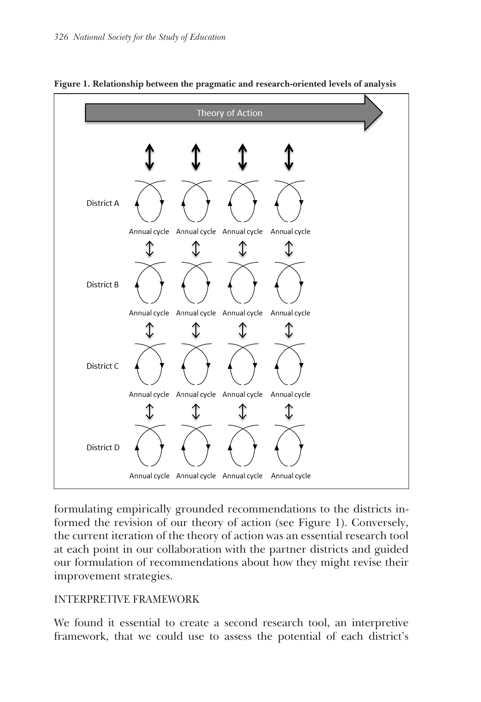

**Figure 1. Relationship between the pragmatic and research-oriented levels of analysis**

formulating empirically grounded recommendations to the districts informed the revision of our theory of action (see Figure 1). Conversely, the current iteration of the theory of action was an essential research tool at each point in our collaboration with the partner districts and guided  $\frac{1}{2}$  our formulation of recommendations about how they might revise their improvement strategies. our formulation of recommendations about now they might revise then

# INTERPRETIVE FRAMEWORK

We found it essential to create a second research tool, an interpretive framework, that we could use to assess the potential of each district's reflects the view that co-participation with others who have already developed relatively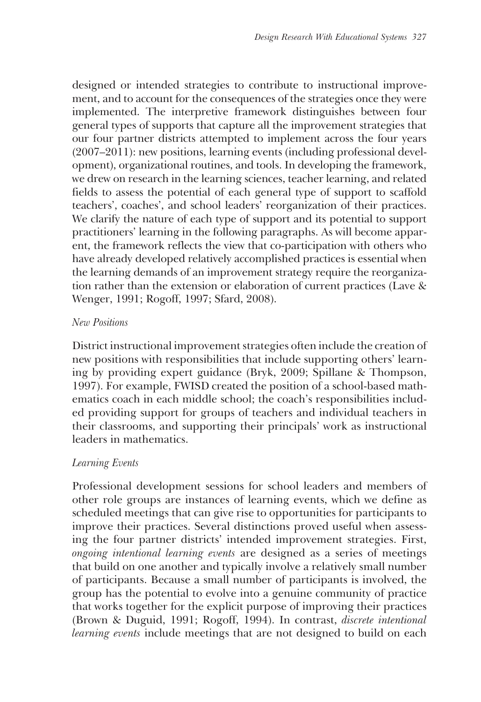designed or intended strategies to contribute to instructional improvement, and to account for the consequences of the strategies once they were implemented. The interpretive framework distinguishes between four general types of supports that capture all the improvement strategies that our four partner districts attempted to implement across the four years (2007–2011): new positions, learning events (including professional development), organizational routines, and tools. In developing the framework, we drew on research in the learning sciences, teacher learning, and related fields to assess the potential of each general type of support to scaffold teachers', coaches', and school leaders' reorganization of their practices. We clarify the nature of each type of support and its potential to support practitioners' learning in the following paragraphs. As will become apparent, the framework reflects the view that co-participation with others who have already developed relatively accomplished practices is essential when the learning demands of an improvement strategy require the reorganization rather than the extension or elaboration of current practices (Lave & Wenger, 1991; Rogoff, 1997; Sfard, 2008).

## *New Positions*

District instructional improvement strategies often include the creation of new positions with responsibilities that include supporting others' learning by providing expert guidance (Bryk, 2009; Spillane & Thompson, 1997). For example, FWISD created the position of a school-based mathematics coach in each middle school; the coach's responsibilities included providing support for groups of teachers and individual teachers in their classrooms, and supporting their principals' work as instructional leaders in mathematics.

# *Learning Events*

Professional development sessions for school leaders and members of other role groups are instances of learning events, which we define as scheduled meetings that can give rise to opportunities for participants to improve their practices. Several distinctions proved useful when assessing the four partner districts' intended improvement strategies. First, *ongoing intentional learning events* are designed as a series of meetings that build on one another and typically involve a relatively small number of participants. Because a small number of participants is involved, the group has the potential to evolve into a genuine community of practice that works together for the explicit purpose of improving their practices (Brown & Duguid, 1991; Rogoff, 1994). In contrast, *discrete intentional learning events* include meetings that are not designed to build on each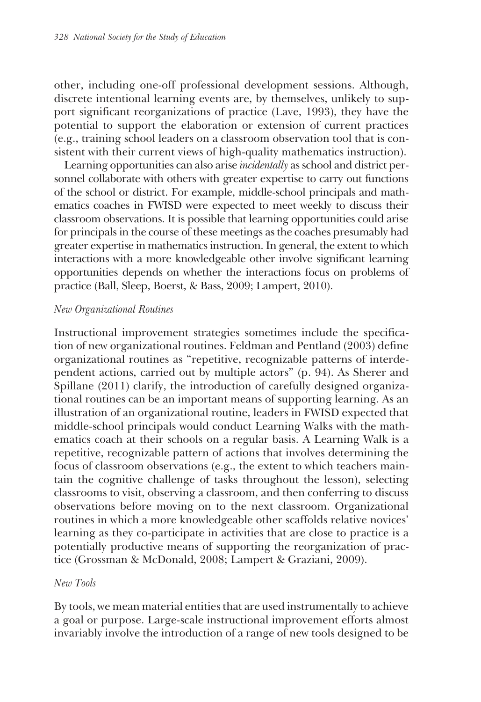other, including one-off professional development sessions. Although, discrete intentional learning events are, by themselves, unlikely to support significant reorganizations of practice (Lave, 1993), they have the potential to support the elaboration or extension of current practices (e.g., training school leaders on a classroom observation tool that is consistent with their current views of high-quality mathematics instruction).

Learning opportunities can also arise *incidentally* as school and district personnel collaborate with others with greater expertise to carry out functions of the school or district. For example, middle-school principals and mathematics coaches in FWISD were expected to meet weekly to discuss their classroom observations. It is possible that learning opportunities could arise for principals in the course of these meetings as the coaches presumably had greater expertise in mathematics instruction. In general, the extent to which interactions with a more knowledgeable other involve significant learning opportunities depends on whether the interactions focus on problems of practice (Ball, Sleep, Boerst, & Bass, 2009; Lampert, 2010).

#### *New Organizational Routines*

Instructional improvement strategies sometimes include the specification of new organizational routines. Feldman and Pentland (2003) define organizational routines as "repetitive, recognizable patterns of interdependent actions, carried out by multiple actors" (p. 94). As Sherer and Spillane (2011) clarify, the introduction of carefully designed organizational routines can be an important means of supporting learning. As an illustration of an organizational routine, leaders in FWISD expected that middle-school principals would conduct Learning Walks with the mathematics coach at their schools on a regular basis. A Learning Walk is a repetitive, recognizable pattern of actions that involves determining the focus of classroom observations (e.g., the extent to which teachers maintain the cognitive challenge of tasks throughout the lesson), selecting classrooms to visit, observing a classroom, and then conferring to discuss observations before moving on to the next classroom. Organizational routines in which a more knowledgeable other scaffolds relative novices' learning as they co-participate in activities that are close to practice is a potentially productive means of supporting the reorganization of practice (Grossman & McDonald, 2008; Lampert & Graziani, 2009).

#### *New Tools*

By tools, we mean material entities that are used instrumentally to achieve a goal or purpose. Large-scale instructional improvement efforts almost invariably involve the introduction of a range of new tools designed to be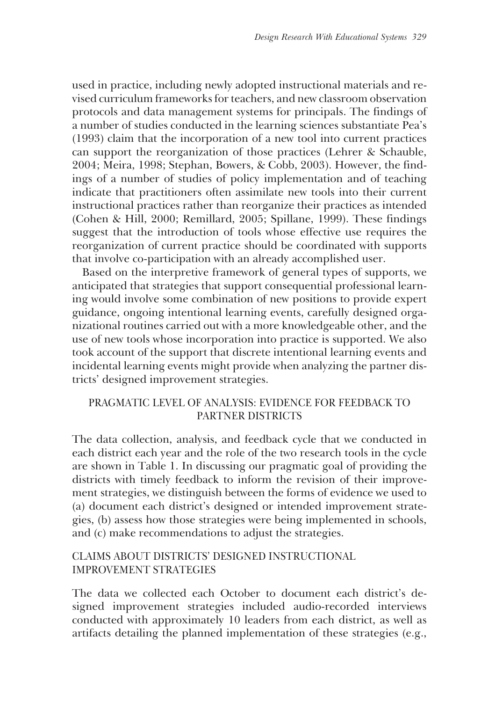used in practice, including newly adopted instructional materials and revised curriculum frameworks for teachers, and new classroom observation protocols and data management systems for principals. The findings of a number of studies conducted in the learning sciences substantiate Pea's (1993) claim that the incorporation of a new tool into current practices can support the reorganization of those practices (Lehrer & Schauble, 2004; Meira, 1998; Stephan, Bowers, & Cobb, 2003). However, the findings of a number of studies of policy implementation and of teaching indicate that practitioners often assimilate new tools into their current instructional practices rather than reorganize their practices as intended (Cohen & Hill, 2000; Remillard, 2005; Spillane, 1999). These findings suggest that the introduction of tools whose effective use requires the reorganization of current practice should be coordinated with supports that involve co-participation with an already accomplished user.

Based on the interpretive framework of general types of supports, we anticipated that strategies that support consequential professional learning would involve some combination of new positions to provide expert guidance, ongoing intentional learning events, carefully designed organizational routines carried out with a more knowledgeable other, and the use of new tools whose incorporation into practice is supported. We also took account of the support that discrete intentional learning events and incidental learning events might provide when analyzing the partner districts' designed improvement strategies.

# PRAGMATIC LEVEL OF ANALYSIS: EVIDENCE FOR FEEDBACK TO PARTNER DISTRICTS

The data collection, analysis, and feedback cycle that we conducted in each district each year and the role of the two research tools in the cycle are shown in Table 1. In discussing our pragmatic goal of providing the districts with timely feedback to inform the revision of their improvement strategies, we distinguish between the forms of evidence we used to (a) document each district's designed or intended improvement strategies, (b) assess how those strategies were being implemented in schools, and (c) make recommendations to adjust the strategies.

# CLAIMS ABOUT DISTRICTS' DESIGNED INSTRUCTIONAL IMPROVEMENT STRATEGIES

The data we collected each October to document each district's designed improvement strategies included audio-recorded interviews conducted with approximately 10 leaders from each district, as well as artifacts detailing the planned implementation of these strategies (e.g.,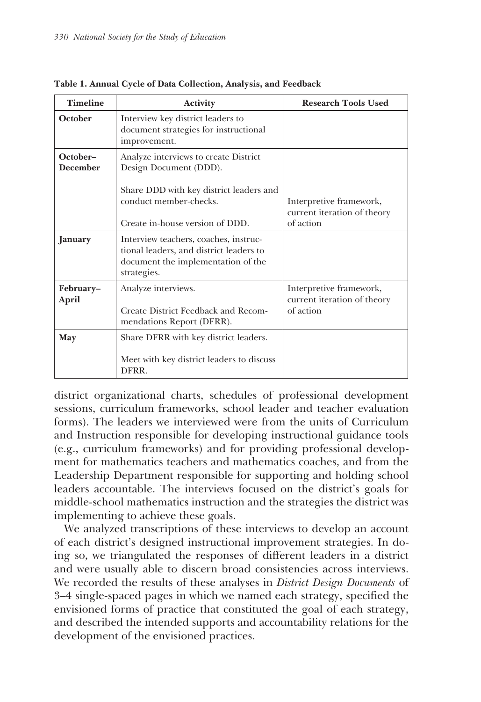| <b>Timeline</b>             | <b>Activity</b>                                                                                                                       | <b>Research Tools Used</b>                                          |
|-----------------------------|---------------------------------------------------------------------------------------------------------------------------------------|---------------------------------------------------------------------|
| October                     | Interview key district leaders to<br>document strategies for instructional<br>improvement.                                            |                                                                     |
| October-<br><b>December</b> | Analyze interviews to create District<br>Design Document (DDD).                                                                       |                                                                     |
|                             | Share DDD with key district leaders and<br>conduct member-checks.<br>Create in-house version of DDD.                                  | Interpretive framework,<br>current iteration of theory<br>of action |
| January                     | Interview teachers, coaches, instruc-<br>tional leaders, and district leaders to<br>document the implementation of the<br>strategies. |                                                                     |
| February-<br>April          | Analyze interviews.<br>Create District Feedback and Recom-<br>mendations Report (DFRR).                                               | Interpretive framework,<br>current iteration of theory<br>of action |
| May                         | Share DFRR with key district leaders.<br>Meet with key district leaders to discuss<br>DFRR.                                           |                                                                     |

**Table 1. Annual Cycle of Data Collection, Analysis, and Feedback**

district organizational charts, schedules of professional development sessions, curriculum frameworks, school leader and teacher evaluation forms). The leaders we interviewed were from the units of Curriculum and Instruction responsible for developing instructional guidance tools (e.g., curriculum frameworks) and for providing professional development for mathematics teachers and mathematics coaches, and from the Leadership Department responsible for supporting and holding school leaders accountable. The interviews focused on the district's goals for middle-school mathematics instruction and the strategies the district was implementing to achieve these goals.

We analyzed transcriptions of these interviews to develop an account of each district's designed instructional improvement strategies. In doing so, we triangulated the responses of different leaders in a district and were usually able to discern broad consistencies across interviews. We recorded the results of these analyses in *District Design Documents* of 3–4 single-spaced pages in which we named each strategy, specified the envisioned forms of practice that constituted the goal of each strategy, and described the intended supports and accountability relations for the development of the envisioned practices.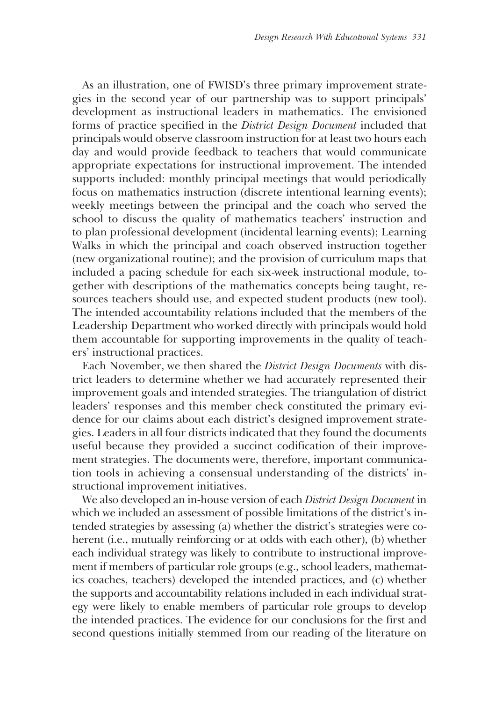As an illustration, one of FWISD's three primary improvement strategies in the second year of our partnership was to support principals' development as instructional leaders in mathematics. The envisioned forms of practice specified in the *District Design Document* included that principals would observe classroom instruction for at least two hours each day and would provide feedback to teachers that would communicate appropriate expectations for instructional improvement. The intended supports included: monthly principal meetings that would periodically focus on mathematics instruction (discrete intentional learning events); weekly meetings between the principal and the coach who served the school to discuss the quality of mathematics teachers' instruction and to plan professional development (incidental learning events); Learning Walks in which the principal and coach observed instruction together (new organizational routine); and the provision of curriculum maps that included a pacing schedule for each six-week instructional module, together with descriptions of the mathematics concepts being taught, resources teachers should use, and expected student products (new tool). The intended accountability relations included that the members of the Leadership Department who worked directly with principals would hold them accountable for supporting improvements in the quality of teachers' instructional practices.

Each November, we then shared the *District Design Documents* with district leaders to determine whether we had accurately represented their improvement goals and intended strategies. The triangulation of district leaders' responses and this member check constituted the primary evidence for our claims about each district's designed improvement strategies. Leaders in all four districts indicated that they found the documents useful because they provided a succinct codification of their improvement strategies. The documents were, therefore, important communication tools in achieving a consensual understanding of the districts' instructional improvement initiatives.

We also developed an in-house version of each *District Design Document* in which we included an assessment of possible limitations of the district's intended strategies by assessing (a) whether the district's strategies were coherent (i.e., mutually reinforcing or at odds with each other), (b) whether each individual strategy was likely to contribute to instructional improvement if members of particular role groups (e.g., school leaders, mathematics coaches, teachers) developed the intended practices, and (c) whether the supports and accountability relations included in each individual strategy were likely to enable members of particular role groups to develop the intended practices. The evidence for our conclusions for the first and second questions initially stemmed from our reading of the literature on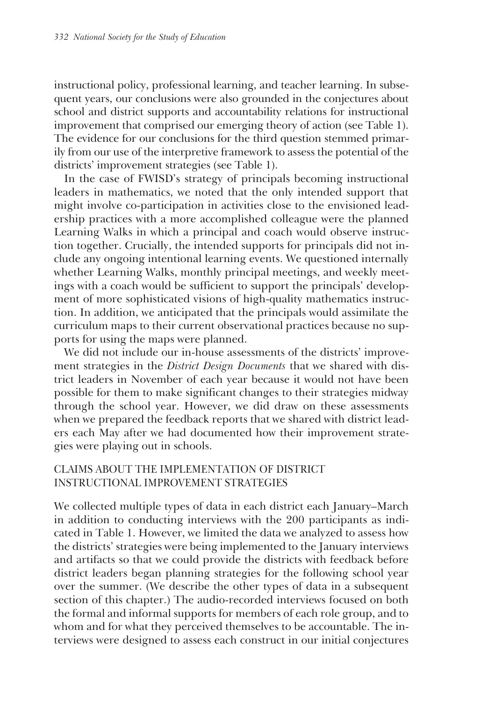instructional policy, professional learning, and teacher learning. In subsequent years, our conclusions were also grounded in the conjectures about school and district supports and accountability relations for instructional improvement that comprised our emerging theory of action (see Table 1). The evidence for our conclusions for the third question stemmed primarily from our use of the interpretive framework to assess the potential of the districts' improvement strategies (see Table 1).

In the case of FWISD's strategy of principals becoming instructional leaders in mathematics, we noted that the only intended support that might involve co-participation in activities close to the envisioned leadership practices with a more accomplished colleague were the planned Learning Walks in which a principal and coach would observe instruction together. Crucially, the intended supports for principals did not include any ongoing intentional learning events. We questioned internally whether Learning Walks, monthly principal meetings, and weekly meetings with a coach would be sufficient to support the principals' development of more sophisticated visions of high-quality mathematics instruction. In addition, we anticipated that the principals would assimilate the curriculum maps to their current observational practices because no supports for using the maps were planned.

We did not include our in-house assessments of the districts' improvement strategies in the *District Design Documents* that we shared with district leaders in November of each year because it would not have been possible for them to make significant changes to their strategies midway through the school year. However, we did draw on these assessments when we prepared the feedback reports that we shared with district leaders each May after we had documented how their improvement strategies were playing out in schools.

## CLAIMS ABOUT THE IMPLEMENTATION OF DISTRICT INSTRUCTIONAL IMPROVEMENT STRATEGIES

We collected multiple types of data in each district each January–March in addition to conducting interviews with the 200 participants as indicated in Table 1. However, we limited the data we analyzed to assess how the districts' strategies were being implemented to the January interviews and artifacts so that we could provide the districts with feedback before district leaders began planning strategies for the following school year over the summer. (We describe the other types of data in a subsequent section of this chapter.) The audio-recorded interviews focused on both the formal and informal supports for members of each role group, and to whom and for what they perceived themselves to be accountable. The interviews were designed to assess each construct in our initial conjectures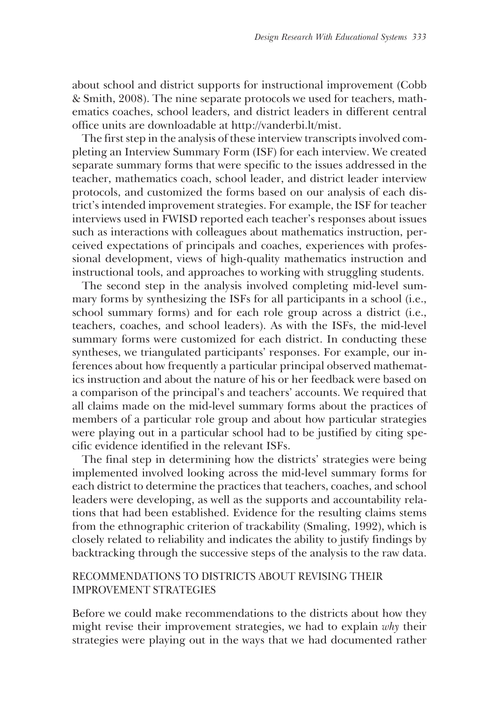about school and district supports for instructional improvement (Cobb & Smith, 2008). The nine separate protocols we used for teachers, mathematics coaches, school leaders, and district leaders in different central office units are downloadable at http://vanderbi.lt/mist.

The first step in the analysis of these interview transcripts involved completing an Interview Summary Form (ISF) for each interview. We created separate summary forms that were specific to the issues addressed in the teacher, mathematics coach, school leader, and district leader interview protocols, and customized the forms based on our analysis of each district's intended improvement strategies. For example, the ISF for teacher interviews used in FWISD reported each teacher's responses about issues such as interactions with colleagues about mathematics instruction, perceived expectations of principals and coaches, experiences with professional development, views of high-quality mathematics instruction and instructional tools, and approaches to working with struggling students.

The second step in the analysis involved completing mid-level summary forms by synthesizing the ISFs for all participants in a school (i.e., school summary forms) and for each role group across a district (i.e., teachers, coaches, and school leaders). As with the ISFs, the mid-level summary forms were customized for each district. In conducting these syntheses, we triangulated participants' responses. For example, our inferences about how frequently a particular principal observed mathematics instruction and about the nature of his or her feedback were based on a comparison of the principal's and teachers' accounts. We required that all claims made on the mid-level summary forms about the practices of members of a particular role group and about how particular strategies were playing out in a particular school had to be justified by citing specific evidence identified in the relevant ISFs.

The final step in determining how the districts' strategies were being implemented involved looking across the mid-level summary forms for each district to determine the practices that teachers, coaches, and school leaders were developing, as well as the supports and accountability relations that had been established. Evidence for the resulting claims stems from the ethnographic criterion of trackability (Smaling, 1992), which is closely related to reliability and indicates the ability to justify findings by backtracking through the successive steps of the analysis to the raw data.

# RECOMMENDATIONS TO DISTRICTS ABOUT REVISING THEIR IMPROVEMENT STRATEGIES

Before we could make recommendations to the districts about how they might revise their improvement strategies, we had to explain *why* their strategies were playing out in the ways that we had documented rather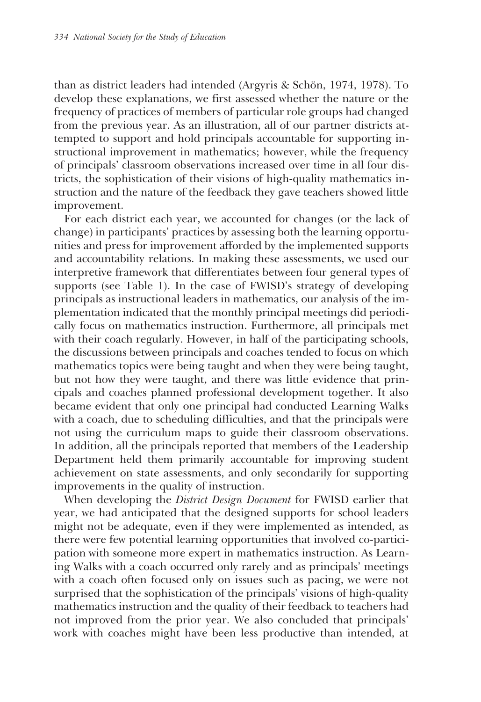than as district leaders had intended (Argyris & Schön, 1974, 1978). To develop these explanations, we first assessed whether the nature or the frequency of practices of members of particular role groups had changed from the previous year. As an illustration, all of our partner districts attempted to support and hold principals accountable for supporting instructional improvement in mathematics; however, while the frequency of principals' classroom observations increased over time in all four districts, the sophistication of their visions of high-quality mathematics instruction and the nature of the feedback they gave teachers showed little improvement.

For each district each year, we accounted for changes (or the lack of change) in participants' practices by assessing both the learning opportunities and press for improvement afforded by the implemented supports and accountability relations. In making these assessments, we used our interpretive framework that differentiates between four general types of supports (see Table 1). In the case of FWISD's strategy of developing principals as instructional leaders in mathematics, our analysis of the implementation indicated that the monthly principal meetings did periodically focus on mathematics instruction. Furthermore, all principals met with their coach regularly. However, in half of the participating schools, the discussions between principals and coaches tended to focus on which mathematics topics were being taught and when they were being taught, but not how they were taught, and there was little evidence that principals and coaches planned professional development together. It also became evident that only one principal had conducted Learning Walks with a coach, due to scheduling difficulties, and that the principals were not using the curriculum maps to guide their classroom observations. In addition, all the principals reported that members of the Leadership Department held them primarily accountable for improving student achievement on state assessments, and only secondarily for supporting improvements in the quality of instruction.

When developing the *District Design Document* for FWISD earlier that year, we had anticipated that the designed supports for school leaders might not be adequate, even if they were implemented as intended, as there were few potential learning opportunities that involved co-participation with someone more expert in mathematics instruction. As Learning Walks with a coach occurred only rarely and as principals' meetings with a coach often focused only on issues such as pacing, we were not surprised that the sophistication of the principals' visions of high-quality mathematics instruction and the quality of their feedback to teachers had not improved from the prior year. We also concluded that principals' work with coaches might have been less productive than intended, at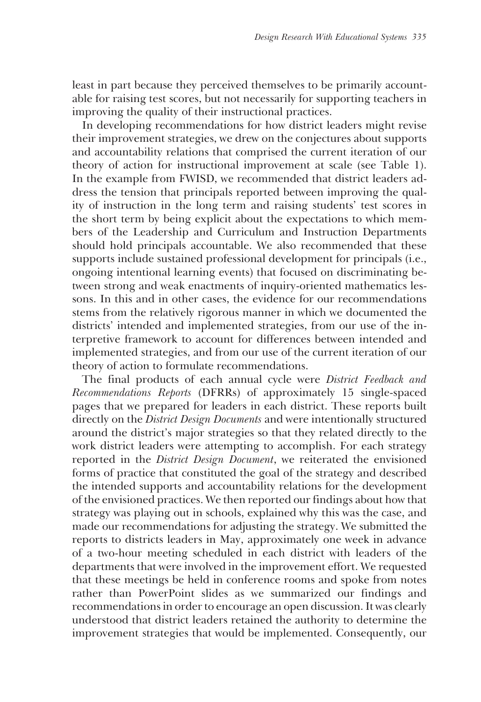least in part because they perceived themselves to be primarily accountable for raising test scores, but not necessarily for supporting teachers in improving the quality of their instructional practices.

In developing recommendations for how district leaders might revise their improvement strategies, we drew on the conjectures about supports and accountability relations that comprised the current iteration of our theory of action for instructional improvement at scale (see Table 1). In the example from FWISD, we recommended that district leaders address the tension that principals reported between improving the quality of instruction in the long term and raising students' test scores in the short term by being explicit about the expectations to which members of the Leadership and Curriculum and Instruction Departments should hold principals accountable. We also recommended that these supports include sustained professional development for principals (i.e., ongoing intentional learning events) that focused on discriminating between strong and weak enactments of inquiry-oriented mathematics lessons. In this and in other cases, the evidence for our recommendations stems from the relatively rigorous manner in which we documented the districts' intended and implemented strategies, from our use of the interpretive framework to account for differences between intended and implemented strategies, and from our use of the current iteration of our theory of action to formulate recommendations.

The final products of each annual cycle were *District Feedback and Recommendations Reports* (DFRRs) of approximately 15 single-spaced pages that we prepared for leaders in each district. These reports built directly on the *District Design Documents* and were intentionally structured around the district's major strategies so that they related directly to the work district leaders were attempting to accomplish. For each strategy reported in the *District Design Document*, we reiterated the envisioned forms of practice that constituted the goal of the strategy and described the intended supports and accountability relations for the development of the envisioned practices. We then reported our findings about how that strategy was playing out in schools, explained why this was the case, and made our recommendations for adjusting the strategy. We submitted the reports to districts leaders in May, approximately one week in advance of a two-hour meeting scheduled in each district with leaders of the departments that were involved in the improvement effort. We requested that these meetings be held in conference rooms and spoke from notes rather than PowerPoint slides as we summarized our findings and recommendations in order to encourage an open discussion. It was clearly understood that district leaders retained the authority to determine the improvement strategies that would be implemented. Consequently, our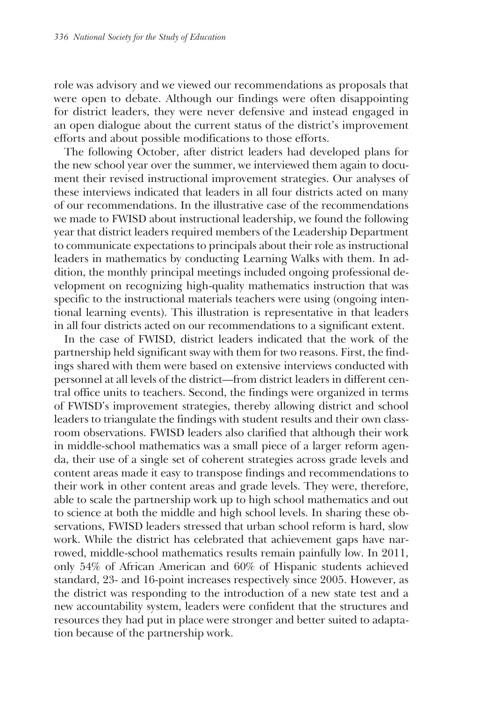role was advisory and we viewed our recommendations as proposals that were open to debate. Although our findings were often disappointing for district leaders, they were never defensive and instead engaged in an open dialogue about the current status of the district's improvement efforts and about possible modifications to those efforts.

The following October, after district leaders had developed plans for the new school year over the summer, we interviewed them again to document their revised instructional improvement strategies. Our analyses of these interviews indicated that leaders in all four districts acted on many of our recommendations. In the illustrative case of the recommendations we made to FWISD about instructional leadership, we found the following year that district leaders required members of the Leadership Department to communicate expectations to principals about their role as instructional leaders in mathematics by conducting Learning Walks with them. In addition, the monthly principal meetings included ongoing professional development on recognizing high-quality mathematics instruction that was specific to the instructional materials teachers were using (ongoing intentional learning events). This illustration is representative in that leaders in all four districts acted on our recommendations to a significant extent.

In the case of FWISD, district leaders indicated that the work of the partnership held significant sway with them for two reasons. First, the findings shared with them were based on extensive interviews conducted with personnel at all levels of the district—from district leaders in different central office units to teachers. Second, the findings were organized in terms of FWISD's improvement strategies, thereby allowing district and school leaders to triangulate the findings with student results and their own classroom observations. FWISD leaders also clarified that although their work in middle-school mathematics was a small piece of a larger reform agenda, their use of a single set of coherent strategies across grade levels and content areas made it easy to transpose findings and recommendations to their work in other content areas and grade levels. They were, therefore, able to scale the partnership work up to high school mathematics and out to science at both the middle and high school levels. In sharing these observations, FWISD leaders stressed that urban school reform is hard, slow work. While the district has celebrated that achievement gaps have narrowed, middle-school mathematics results remain painfully low. In 2011, only 54% of African American and 60% of Hispanic students achieved standard, 23- and 16-point increases respectively since 2005. However, as the district was responding to the introduction of a new state test and a new accountability system, leaders were confident that the structures and resources they had put in place were stronger and better suited to adaptation because of the partnership work.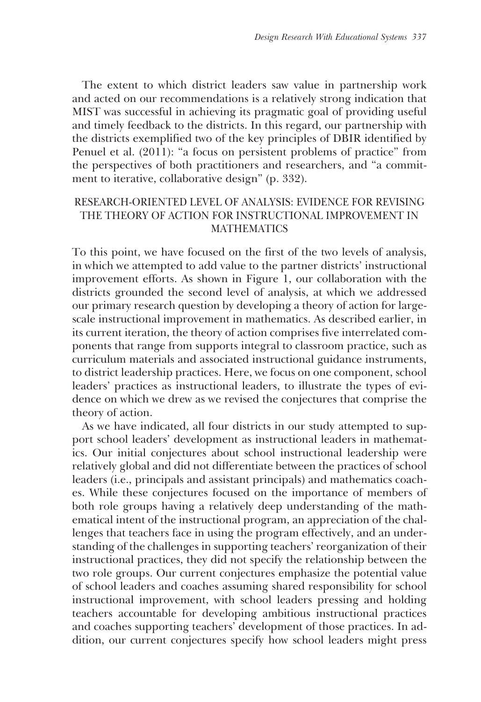The extent to which district leaders saw value in partnership work and acted on our recommendations is a relatively strong indication that MIST was successful in achieving its pragmatic goal of providing useful and timely feedback to the districts. In this regard, our partnership with the districts exemplified two of the key principles of DBIR identified by Penuel et al. (2011): "a focus on persistent problems of practice" from the perspectives of both practitioners and researchers, and "a commitment to iterative, collaborative design" (p. 332).

# RESEARCH-ORIENTED LEVEL OF ANALYSIS: EVIDENCE FOR REVISING THE THEORY OF ACTION FOR INSTRUCTIONAL IMPROVEMENT IN MATHEMATICS

To this point, we have focused on the first of the two levels of analysis, in which we attempted to add value to the partner districts' instructional improvement efforts. As shown in Figure 1, our collaboration with the districts grounded the second level of analysis, at which we addressed our primary research question by developing a theory of action for largescale instructional improvement in mathematics. As described earlier, in its current iteration, the theory of action comprises five interrelated components that range from supports integral to classroom practice, such as curriculum materials and associated instructional guidance instruments, to district leadership practices. Here, we focus on one component, school leaders' practices as instructional leaders, to illustrate the types of evidence on which we drew as we revised the conjectures that comprise the theory of action.

As we have indicated, all four districts in our study attempted to support school leaders' development as instructional leaders in mathematics. Our initial conjectures about school instructional leadership were relatively global and did not differentiate between the practices of school leaders (i.e., principals and assistant principals) and mathematics coaches. While these conjectures focused on the importance of members of both role groups having a relatively deep understanding of the mathematical intent of the instructional program, an appreciation of the challenges that teachers face in using the program effectively, and an understanding of the challenges in supporting teachers' reorganization of their instructional practices, they did not specify the relationship between the two role groups. Our current conjectures emphasize the potential value of school leaders and coaches assuming shared responsibility for school instructional improvement, with school leaders pressing and holding teachers accountable for developing ambitious instructional practices and coaches supporting teachers' development of those practices. In addition, our current conjectures specify how school leaders might press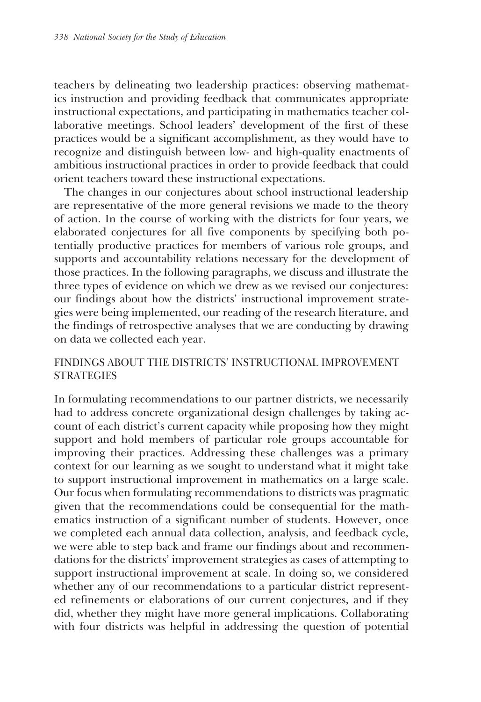teachers by delineating two leadership practices: observing mathematics instruction and providing feedback that communicates appropriate instructional expectations, and participating in mathematics teacher collaborative meetings. School leaders' development of the first of these practices would be a significant accomplishment, as they would have to recognize and distinguish between low- and high-quality enactments of ambitious instructional practices in order to provide feedback that could orient teachers toward these instructional expectations.

The changes in our conjectures about school instructional leadership are representative of the more general revisions we made to the theory of action. In the course of working with the districts for four years, we elaborated conjectures for all five components by specifying both potentially productive practices for members of various role groups, and supports and accountability relations necessary for the development of those practices. In the following paragraphs, we discuss and illustrate the three types of evidence on which we drew as we revised our conjectures: our findings about how the districts' instructional improvement strategies were being implemented, our reading of the research literature, and the findings of retrospective analyses that we are conducting by drawing on data we collected each year.

## FINDINGS ABOUT THE DISTRICTS' INSTRUCTIONAL IMPROVEMENT **STRATEGIES**

In formulating recommendations to our partner districts, we necessarily had to address concrete organizational design challenges by taking account of each district's current capacity while proposing how they might support and hold members of particular role groups accountable for improving their practices. Addressing these challenges was a primary context for our learning as we sought to understand what it might take to support instructional improvement in mathematics on a large scale. Our focus when formulating recommendations to districts was pragmatic given that the recommendations could be consequential for the mathematics instruction of a significant number of students. However, once we completed each annual data collection, analysis, and feedback cycle, we were able to step back and frame our findings about and recommendations for the districts' improvement strategies as cases of attempting to support instructional improvement at scale. In doing so, we considered whether any of our recommendations to a particular district represented refinements or elaborations of our current conjectures, and if they did, whether they might have more general implications. Collaborating with four districts was helpful in addressing the question of potential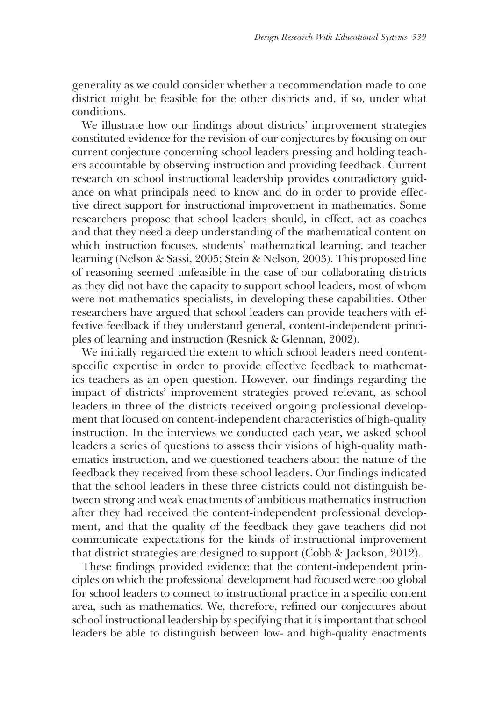generality as we could consider whether a recommendation made to one district might be feasible for the other districts and, if so, under what conditions.

We illustrate how our findings about districts' improvement strategies constituted evidence for the revision of our conjectures by focusing on our current conjecture concerning school leaders pressing and holding teachers accountable by observing instruction and providing feedback. Current research on school instructional leadership provides contradictory guidance on what principals need to know and do in order to provide effective direct support for instructional improvement in mathematics. Some researchers propose that school leaders should, in effect, act as coaches and that they need a deep understanding of the mathematical content on which instruction focuses, students' mathematical learning, and teacher learning (Nelson & Sassi, 2005; Stein & Nelson, 2003). This proposed line of reasoning seemed unfeasible in the case of our collaborating districts as they did not have the capacity to support school leaders, most of whom were not mathematics specialists, in developing these capabilities. Other researchers have argued that school leaders can provide teachers with effective feedback if they understand general, content-independent principles of learning and instruction (Resnick & Glennan, 2002).

We initially regarded the extent to which school leaders need contentspecific expertise in order to provide effective feedback to mathematics teachers as an open question. However, our findings regarding the impact of districts' improvement strategies proved relevant, as school leaders in three of the districts received ongoing professional development that focused on content-independent characteristics of high-quality instruction. In the interviews we conducted each year, we asked school leaders a series of questions to assess their visions of high-quality mathematics instruction, and we questioned teachers about the nature of the feedback they received from these school leaders. Our findings indicated that the school leaders in these three districts could not distinguish between strong and weak enactments of ambitious mathematics instruction after they had received the content-independent professional development, and that the quality of the feedback they gave teachers did not communicate expectations for the kinds of instructional improvement that district strategies are designed to support (Cobb & Jackson, 2012).

These findings provided evidence that the content-independent principles on which the professional development had focused were too global for school leaders to connect to instructional practice in a specific content area, such as mathematics. We, therefore, refined our conjectures about school instructional leadership by specifying that it is important that school leaders be able to distinguish between low- and high-quality enactments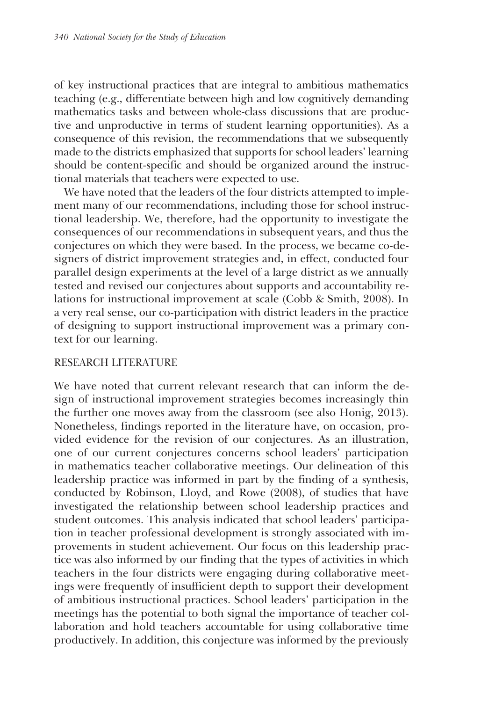of key instructional practices that are integral to ambitious mathematics teaching (e.g., differentiate between high and low cognitively demanding mathematics tasks and between whole-class discussions that are productive and unproductive in terms of student learning opportunities). As a consequence of this revision, the recommendations that we subsequently made to the districts emphasized that supports for school leaders' learning should be content-specific and should be organized around the instructional materials that teachers were expected to use.

We have noted that the leaders of the four districts attempted to implement many of our recommendations, including those for school instructional leadership. We, therefore, had the opportunity to investigate the consequences of our recommendations in subsequent years, and thus the conjectures on which they were based. In the process, we became co-designers of district improvement strategies and, in effect, conducted four parallel design experiments at the level of a large district as we annually tested and revised our conjectures about supports and accountability relations for instructional improvement at scale (Cobb & Smith, 2008). In a very real sense, our co-participation with district leaders in the practice of designing to support instructional improvement was a primary context for our learning.

# RESEARCH LITERATURE

We have noted that current relevant research that can inform the design of instructional improvement strategies becomes increasingly thin the further one moves away from the classroom (see also Honig, 2013). Nonetheless, findings reported in the literature have, on occasion, provided evidence for the revision of our conjectures. As an illustration, one of our current conjectures concerns school leaders' participation in mathematics teacher collaborative meetings. Our delineation of this leadership practice was informed in part by the finding of a synthesis, conducted by Robinson, Lloyd, and Rowe (2008), of studies that have investigated the relationship between school leadership practices and student outcomes. This analysis indicated that school leaders' participation in teacher professional development is strongly associated with improvements in student achievement. Our focus on this leadership practice was also informed by our finding that the types of activities in which teachers in the four districts were engaging during collaborative meetings were frequently of insufficient depth to support their development of ambitious instructional practices. School leaders' participation in the meetings has the potential to both signal the importance of teacher collaboration and hold teachers accountable for using collaborative time productively. In addition, this conjecture was informed by the previously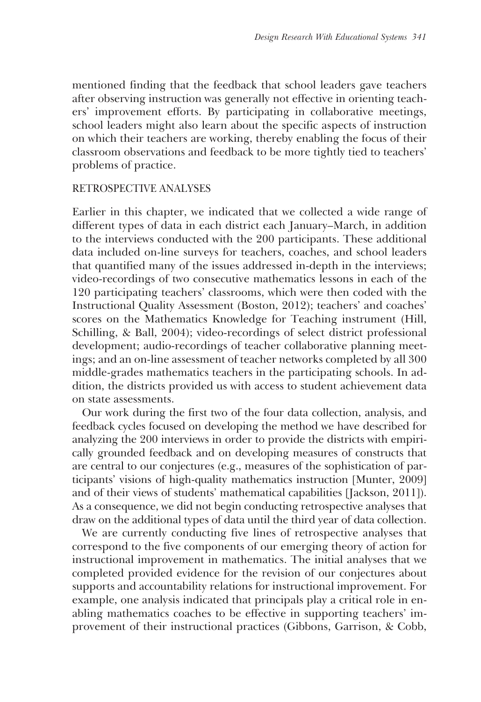mentioned finding that the feedback that school leaders gave teachers after observing instruction was generally not effective in orienting teachers' improvement efforts. By participating in collaborative meetings, school leaders might also learn about the specific aspects of instruction on which their teachers are working, thereby enabling the focus of their classroom observations and feedback to be more tightly tied to teachers' problems of practice.

## RETROSPECTIVE ANALYSES

Earlier in this chapter, we indicated that we collected a wide range of different types of data in each district each January–March, in addition to the interviews conducted with the 200 participants. These additional data included on-line surveys for teachers, coaches, and school leaders that quantified many of the issues addressed in-depth in the interviews; video-recordings of two consecutive mathematics lessons in each of the 120 participating teachers' classrooms, which were then coded with the Instructional Quality Assessment (Boston, 2012); teachers' and coaches' scores on the Mathematics Knowledge for Teaching instrument (Hill, Schilling, & Ball, 2004); video-recordings of select district professional development; audio-recordings of teacher collaborative planning meetings; and an on-line assessment of teacher networks completed by all 300 middle-grades mathematics teachers in the participating schools. In addition, the districts provided us with access to student achievement data on state assessments.

Our work during the first two of the four data collection, analysis, and feedback cycles focused on developing the method we have described for analyzing the 200 interviews in order to provide the districts with empirically grounded feedback and on developing measures of constructs that are central to our conjectures (e.g., measures of the sophistication of participants' visions of high-quality mathematics instruction [Munter, 2009] and of their views of students' mathematical capabilities [Jackson, 2011]). As a consequence, we did not begin conducting retrospective analyses that draw on the additional types of data until the third year of data collection.

We are currently conducting five lines of retrospective analyses that correspond to the five components of our emerging theory of action for instructional improvement in mathematics. The initial analyses that we completed provided evidence for the revision of our conjectures about supports and accountability relations for instructional improvement. For example, one analysis indicated that principals play a critical role in enabling mathematics coaches to be effective in supporting teachers' improvement of their instructional practices (Gibbons, Garrison, & Cobb,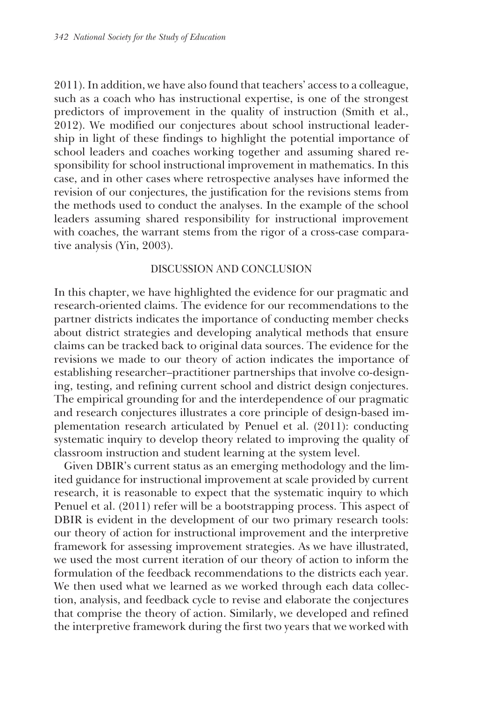2011). In addition, we have also found that teachers' access to a colleague, such as a coach who has instructional expertise, is one of the strongest predictors of improvement in the quality of instruction (Smith et al., 2012). We modified our conjectures about school instructional leadership in light of these findings to highlight the potential importance of school leaders and coaches working together and assuming shared responsibility for school instructional improvement in mathematics. In this case, and in other cases where retrospective analyses have informed the revision of our conjectures, the justification for the revisions stems from the methods used to conduct the analyses. In the example of the school leaders assuming shared responsibility for instructional improvement with coaches, the warrant stems from the rigor of a cross-case comparative analysis (Yin, 2003).

## DISCUSSION AND CONCLUSION

In this chapter, we have highlighted the evidence for our pragmatic and research-oriented claims. The evidence for our recommendations to the partner districts indicates the importance of conducting member checks about district strategies and developing analytical methods that ensure claims can be tracked back to original data sources. The evidence for the revisions we made to our theory of action indicates the importance of establishing researcher–practitioner partnerships that involve co-designing, testing, and refining current school and district design conjectures. The empirical grounding for and the interdependence of our pragmatic and research conjectures illustrates a core principle of design-based implementation research articulated by Penuel et al. (2011): conducting systematic inquiry to develop theory related to improving the quality of classroom instruction and student learning at the system level.

Given DBIR's current status as an emerging methodology and the limited guidance for instructional improvement at scale provided by current research, it is reasonable to expect that the systematic inquiry to which Penuel et al. (2011) refer will be a bootstrapping process. This aspect of DBIR is evident in the development of our two primary research tools: our theory of action for instructional improvement and the interpretive framework for assessing improvement strategies. As we have illustrated, we used the most current iteration of our theory of action to inform the formulation of the feedback recommendations to the districts each year. We then used what we learned as we worked through each data collection, analysis, and feedback cycle to revise and elaborate the conjectures that comprise the theory of action. Similarly, we developed and refined the interpretive framework during the first two years that we worked with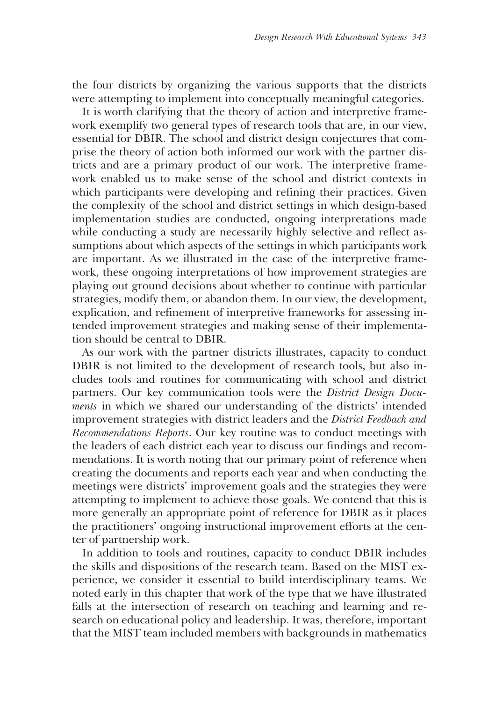the four districts by organizing the various supports that the districts were attempting to implement into conceptually meaningful categories.

It is worth clarifying that the theory of action and interpretive framework exemplify two general types of research tools that are, in our view, essential for DBIR. The school and district design conjectures that comprise the theory of action both informed our work with the partner districts and are a primary product of our work. The interpretive framework enabled us to make sense of the school and district contexts in which participants were developing and refining their practices. Given the complexity of the school and district settings in which design-based implementation studies are conducted, ongoing interpretations made while conducting a study are necessarily highly selective and reflect assumptions about which aspects of the settings in which participants work are important. As we illustrated in the case of the interpretive framework, these ongoing interpretations of how improvement strategies are playing out ground decisions about whether to continue with particular strategies, modify them, or abandon them. In our view, the development, explication, and refinement of interpretive frameworks for assessing intended improvement strategies and making sense of their implementation should be central to DBIR.

As our work with the partner districts illustrates, capacity to conduct DBIR is not limited to the development of research tools, but also includes tools and routines for communicating with school and district partners. Our key communication tools were the *District Design Documents* in which we shared our understanding of the districts' intended improvement strategies with district leaders and the *District Feedback and Recommendations Reports*. Our key routine was to conduct meetings with the leaders of each district each year to discuss our findings and recommendations. It is worth noting that our primary point of reference when creating the documents and reports each year and when conducting the meetings were districts' improvement goals and the strategies they were attempting to implement to achieve those goals. We contend that this is more generally an appropriate point of reference for DBIR as it places the practitioners' ongoing instructional improvement efforts at the center of partnership work.

In addition to tools and routines, capacity to conduct DBIR includes the skills and dispositions of the research team. Based on the MIST experience, we consider it essential to build interdisciplinary teams. We noted early in this chapter that work of the type that we have illustrated falls at the intersection of research on teaching and learning and research on educational policy and leadership. It was, therefore, important that the MIST team included members with backgrounds in mathematics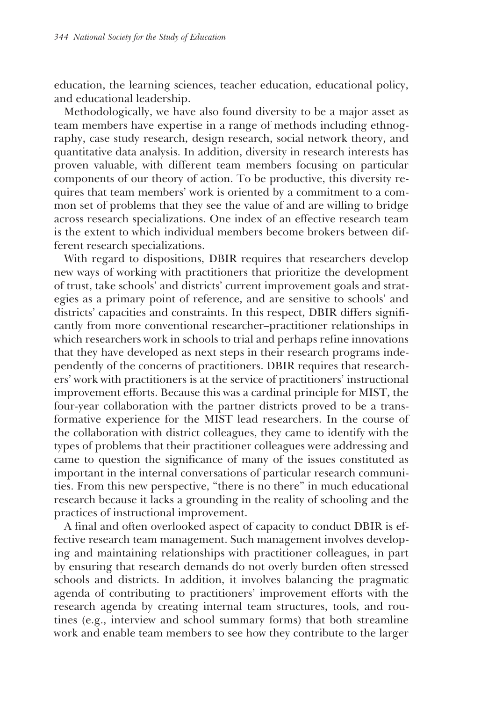education, the learning sciences, teacher education, educational policy, and educational leadership.

Methodologically, we have also found diversity to be a major asset as team members have expertise in a range of methods including ethnography, case study research, design research, social network theory, and quantitative data analysis. In addition, diversity in research interests has proven valuable, with different team members focusing on particular components of our theory of action. To be productive, this diversity requires that team members' work is oriented by a commitment to a common set of problems that they see the value of and are willing to bridge across research specializations. One index of an effective research team is the extent to which individual members become brokers between different research specializations.

With regard to dispositions, DBIR requires that researchers develop new ways of working with practitioners that prioritize the development of trust, take schools' and districts' current improvement goals and strategies as a primary point of reference, and are sensitive to schools' and districts' capacities and constraints. In this respect, DBIR differs significantly from more conventional researcher–practitioner relationships in which researchers work in schools to trial and perhaps refine innovations that they have developed as next steps in their research programs independently of the concerns of practitioners. DBIR requires that researchers' work with practitioners is at the service of practitioners' instructional improvement efforts. Because this was a cardinal principle for MIST, the four-year collaboration with the partner districts proved to be a transformative experience for the MIST lead researchers. In the course of the collaboration with district colleagues, they came to identify with the types of problems that their practitioner colleagues were addressing and came to question the significance of many of the issues constituted as important in the internal conversations of particular research communities. From this new perspective, "there is no there" in much educational research because it lacks a grounding in the reality of schooling and the practices of instructional improvement.

A final and often overlooked aspect of capacity to conduct DBIR is effective research team management. Such management involves developing and maintaining relationships with practitioner colleagues, in part by ensuring that research demands do not overly burden often stressed schools and districts. In addition, it involves balancing the pragmatic agenda of contributing to practitioners' improvement efforts with the research agenda by creating internal team structures, tools, and routines (e.g., interview and school summary forms) that both streamline work and enable team members to see how they contribute to the larger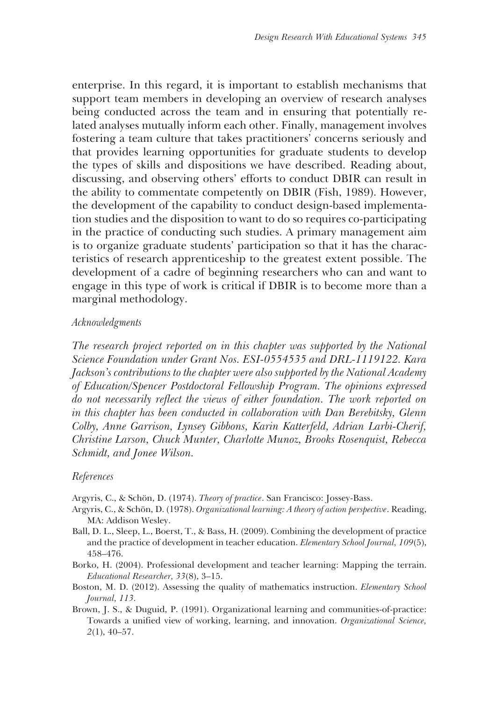enterprise. In this regard, it is important to establish mechanisms that support team members in developing an overview of research analyses being conducted across the team and in ensuring that potentially related analyses mutually inform each other. Finally, management involves fostering a team culture that takes practitioners' concerns seriously and that provides learning opportunities for graduate students to develop the types of skills and dispositions we have described. Reading about, discussing, and observing others' efforts to conduct DBIR can result in the ability to commentate competently on DBIR (Fish, 1989). However, the development of the capability to conduct design-based implementation studies and the disposition to want to do so requires co-participating in the practice of conducting such studies. A primary management aim is to organize graduate students' participation so that it has the characteristics of research apprenticeship to the greatest extent possible. The development of a cadre of beginning researchers who can and want to engage in this type of work is critical if DBIR is to become more than a marginal methodology.

## *Acknowledgments*

*The research project reported on in this chapter was supported by the National Science Foundation under Grant Nos. ESI-0554535 and DRL-1119122. Kara Jackson's contributions to the chapter were also supported by the National Academy of Education/Spencer Postdoctoral Fellowship Program. The opinions expressed do not necessarily reflect the views of either foundation. The work reported on in this chapter has been conducted in collaboration with Dan Berebitsky, Glenn Colby, Anne Garrison, Lynsey Gibbons, Karin Katterfeld, Adrian Larbi-Cherif, Christine Larson, Chuck Munter, Charlotte Munoz, Brooks Rosenquist, Rebecca Schmidt, and Jonee Wilson.*

#### *References*

- Argyris, C., & Schön, D. (1974). *Theory of practice*. San Francisco: Jossey-Bass.
- Argyris, C., & Schön, D. (1978). *Organizational learning: A theory of action perspective*. Reading, MA: Addison Wesley.
- Ball, D. L., Sleep, L., Boerst, T., & Bass, H. (2009). Combining the development of practice and the practice of development in teacher education. *Elementary School Journal, 109*(5), 458–476.
- Borko, H. (2004). Professional development and teacher learning: Mapping the terrain. *Educational Researcher, 33*(8), 3–15.
- Boston, M. D. (2012). Assessing the quality of mathematics instruction. *Elementary School Journal, 113.*
- Brown, J. S., & Duguid, P. (1991). Organizational learning and communities-of-practice: Towards a unified view of working, learning, and innovation. *Organizational Science, 2*(1), 40–57.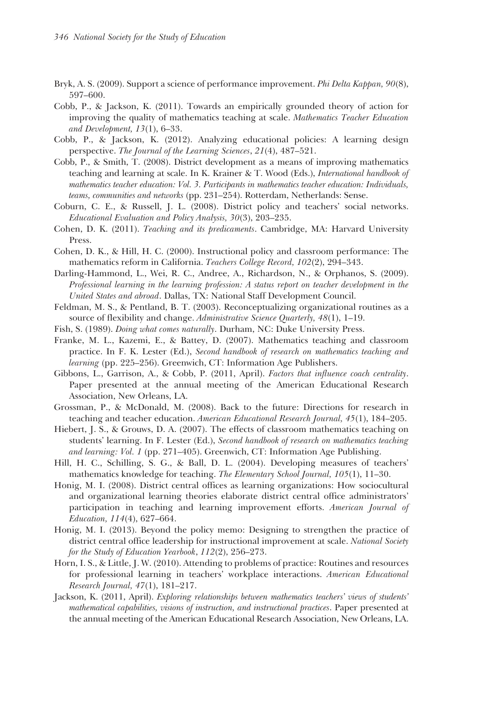- Bryk, A. S. (2009). Support a science of performance improvement. *Phi Delta Kappan, 90*(8), 597–600.
- Cobb, P., & Jackson, K. (2011). Towards an empirically grounded theory of action for improving the quality of mathematics teaching at scale. *Mathematics Teacher Education and Development, 13*(1), 6–33.
- Cobb, P., & Jackson, K. (2012). Analyzing educational policies: A learning design perspective. *The Journal of the Learning Sciences*, *21*(4), 487–521.
- Cobb, P., & Smith, T. (2008). District development as a means of improving mathematics teaching and learning at scale. In K. Krainer & T. Wood (Eds.), *International handbook of mathematics teacher education: Vol. 3. Participants in mathematics teacher education: Individuals, teams, communities and networks* (pp. 231–254). Rotterdam, Netherlands: Sense.
- Coburn, C. E., & Russell, J. L. (2008). District policy and teachers' social networks. *Educational Evaluation and Policy Analysis, 30*(3), 203–235.
- Cohen, D. K. (2011). *Teaching and its predicaments*. Cambridge, MA: Harvard University Press.
- Cohen, D. K., & Hill, H. C. (2000). Instructional policy and classroom performance: The mathematics reform in California. *Teachers College Record, 102*(2), 294–343.
- Darling-Hammond, L., Wei, R. C., Andree, A., Richardson, N., & Orphanos, S. (2009). *Professional learning in the learning profession: A status report on teacher development in the United States and abroad*. Dallas, TX: National Staff Development Council.
- Feldman, M. S., & Pentland, B. T. (2003). Reconceptualizing organizational routines as a source of flexibility and change. *Administrative Science Quarterly, 48*(1), 1–19.
- Fish, S. (1989). *Doing what comes naturally*. Durham, NC: Duke University Press.
- Franke, M. L., Kazemi, E., & Battey, D. (2007). Mathematics teaching and classroom practice. In F. K. Lester (Ed.), *Second handbook of research on mathematics teaching and learning* (pp. 225–256). Greenwich, CT: Information Age Publishers.
- Gibbons, L., Garrison, A., & Cobb, P. (2011, April). *Factors that influence coach centrality*. Paper presented at the annual meeting of the American Educational Research Association, New Orleans, LA.
- Grossman, P., & McDonald, M. (2008). Back to the future: Directions for research in teaching and teacher education. *American Educational Research Journal, 45*(1), 184–205.
- Hiebert, J. S., & Grouws, D. A. (2007). The effects of classroom mathematics teaching on students' learning. In F. Lester (Ed.), *Second handbook of research on mathematics teaching and learning: Vol. 1* (pp. 271–405). Greenwich, CT: Information Age Publishing.
- Hill, H. C., Schilling, S. G., & Ball, D. L. (2004). Developing measures of teachers' mathematics knowledge for teaching. *The Elementary School Journal, 105*(1), 11–30.
- Honig, M. I. (2008). District central offices as learning organizations: How sociocultural and organizational learning theories elaborate district central office administrators' participation in teaching and learning improvement efforts. *American Journal of Education, 114*(4), 627–664.
- Honig, M. I. (2013). Beyond the policy memo: Designing to strengthen the practice of district central office leadership for instructional improvement at scale. *National Society for the Study of Education Yearbook*, *112*(2), 256–273.
- Horn, I. S., & Little, J. W. (2010). Attending to problems of practice: Routines and resources for professional learning in teachers' workplace interactions. *American Educational Research Journal, 47*(1), 181–217.
- Jackson, K. (2011, April). *Exploring relationships between mathematics teachers' views of students' mathematical capabilities, visions of instruction, and instructional practices*. Paper presented at the annual meeting of the American Educational Research Association, New Orleans, LA.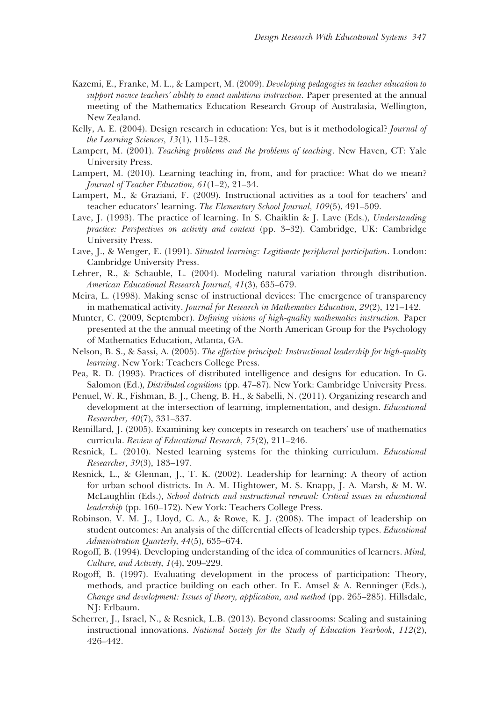- Kazemi, E., Franke, M. L., & Lampert, M. (2009). *Developing pedagogies in teacher education to support novice teachers' ability to enact ambitious instruction.* Paper presented at the annual meeting of the Mathematics Education Research Group of Australasia, Wellington, New Zealand.
- Kelly, A. E. (2004). Design research in education: Yes, but is it methodological? *Journal of the Learning Sciences, 13*(1), 115–128.
- Lampert, M. (2001). *Teaching problems and the problems of teaching*. New Haven, CT: Yale University Press.
- Lampert, M. (2010). Learning teaching in, from, and for practice: What do we mean? *Journal of Teacher Education, 61*(1–2), 21–34.
- Lampert, M., & Graziani, F. (2009). Instructional activities as a tool for teachers' and teacher educators' learning. *The Elementary School Journal, 109*(5), 491–509.
- Lave, J. (1993). The practice of learning. In S. Chaiklin & J. Lave (Eds.), *Understanding practice: Perspectives on activity and context* (pp. 3–32). Cambridge, UK: Cambridge University Press.
- Lave, J., & Wenger, E. (1991). *Situated learning: Legitimate peripheral participation*. London: Cambridge University Press.
- Lehrer, R., & Schauble, L. (2004). Modeling natural variation through distribution. *American Educational Research Journal, 41*(3), 635–679.
- Meira, L. (1998). Making sense of instructional devices: The emergence of transparency in mathematical activity. *Journal for Research in Mathematics Education, 29*(2), 121–142.
- Munter, C. (2009, September). *Defining visions of high-quality mathematics instruction.* Paper presented at the the annual meeting of the North American Group for the Psychology of Mathematics Education, Atlanta, GA.
- Nelson, B. S., & Sassi, A. (2005). *The effective principal: Instructional leadership for high-quality learning*. New York: Teachers College Press.
- Pea, R. D. (1993). Practices of distributed intelligence and designs for education. In G. Salomon (Ed.), *Distributed cognitions* (pp. 47–87). New York: Cambridge University Press.
- Penuel, W. R., Fishman, B. J., Cheng, B. H., & Sabelli, N. (2011). Organizing research and development at the intersection of learning, implementation, and design. *Educational Researcher, 40*(7), 331–337.
- Remillard, J. (2005). Examining key concepts in research on teachers' use of mathematics curricula. *Review of Educational Research, 75*(2), 211–246.
- Resnick, L. (2010). Nested learning systems for the thinking curriculum. *Educational Researcher, 39*(3), 183–197.
- Resnick, L., & Glennan, J., T. K. (2002). Leadership for learning: A theory of action for urban school districts. In A. M. Hightower, M. S. Knapp, J. A. Marsh, & M. W. McLaughlin (Eds.), *School districts and instructional renewal: Critical issues in educational leadership* (pp. 160–172). New York: Teachers College Press.
- Robinson, V. M. J., Lloyd, C. A., & Rowe, K. J. (2008). The impact of leadership on student outcomes: An analysis of the differential effects of leadership types. *Educational Administration Quarterly, 44*(5), 635–674.
- Rogoff, B. (1994). Developing understanding of the idea of communities of learners. *Mind, Culture, and Activity, 1*(4), 209–229.
- Rogoff, B. (1997). Evaluating development in the process of participation: Theory, methods, and practice building on each other. In E. Amsel & A. Renninger (Eds.), *Change and development: Issues of theory, application, and method* (pp. 265–285). Hillsdale, NJ: Erlbaum.
- Scherrer, J., Israel, N., & Resnick, L.B. (2013). Beyond classrooms: Scaling and sustaining instructional innovations. *National Society for the Study of Education Yearbook*, *112*(2), 426–442.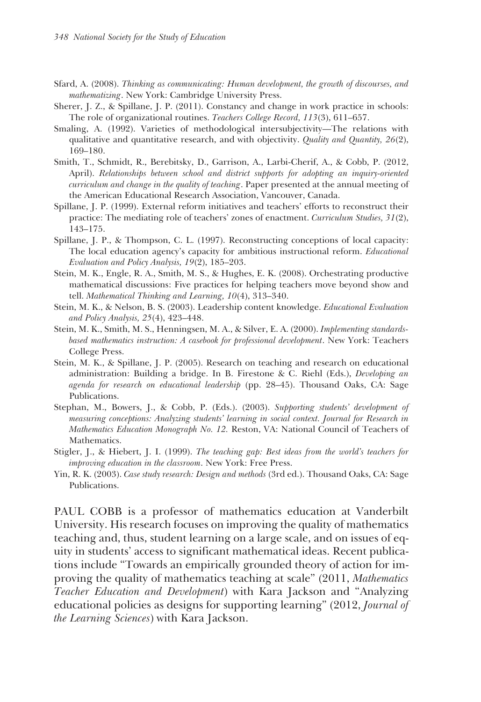- Sfard, A. (2008). *Thinking as communicating: Human development, the growth of discourses, and mathematizing*. New York: Cambridge University Press.
- Sherer, J. Z., & Spillane, J. P. (2011). Constancy and change in work practice in schools: The role of organizational routines. *Teachers College Record, 113*(3), 611–657.
- Smaling, A. (1992). Varieties of methodological intersubjectivity—The relations with qualitative and quantitative research, and with objectivity. *Quality and Quantity, 26*(2), 169–180.
- Smith, T., Schmidt, R., Berebitsky, D., Garrison, A., Larbi-Cherif, A., & Cobb, P. (2012, April). *Relationships between school and district supports for adopting an inquiry-oriented curriculum and change in the quality of teaching*. Paper presented at the annual meeting of the American Educational Research Association, Vancouver, Canada.
- Spillane, J. P. (1999). External reform initiatives and teachers' efforts to reconstruct their practice: The mediating role of teachers' zones of enactment. *Curriculum Studies, 31*(2), 143–175.
- Spillane, J. P., & Thompson, C. L. (1997). Reconstructing conceptions of local capacity: The local education agency's capacity for ambitious instructional reform. *Educational Evaluation and Policy Analysis, 19*(2), 185–203.
- Stein, M. K., Engle, R. A., Smith, M. S., & Hughes, E. K. (2008). Orchestrating productive mathematical discussions: Five practices for helping teachers move beyond show and tell. *Mathematical Thinking and Learning, 10*(4), 313–340.
- Stein, M. K., & Nelson, B. S. (2003). Leadership content knowledge. *Educational Evaluation and Policy Analysis, 25*(4), 423–448.
- Stein, M. K., Smith, M. S., Henningsen, M. A., & Silver, E. A. (2000). *Implementing standardsbased mathematics instruction: A casebook for professional development*. New York: Teachers College Press.
- Stein, M. K., & Spillane, J. P. (2005). Research on teaching and research on educational administration: Building a bridge. In B. Firestone & C. Riehl (Eds.), *Developing an agenda for research on educational leadership* (pp. 28–45). Thousand Oaks, CA: Sage Publications.
- Stephan, M., Bowers, J., & Cobb, P. (Eds.). (2003). *Supporting students' development of measuring conceptions: Analyzing students' learning in social context. Journal for Research in Mathematics Education Monograph No. 12.* Reston, VA: National Council of Teachers of Mathematics.
- Stigler, J., & Hiebert, J. I. (1999). *The teaching gap: Best ideas from the world's teachers for improving education in the classroom*. New York: Free Press.
- Yin, R. K. (2003). *Case study research: Design and methods* (3rd ed.). Thousand Oaks, CA: Sage Publications.

PAUL COBB is a professor of mathematics education at Vanderbilt University. His research focuses on improving the quality of mathematics teaching and, thus, student learning on a large scale, and on issues of equity in students' access to significant mathematical ideas. Recent publications include "Towards an empirically grounded theory of action for improving the quality of mathematics teaching at scale" (2011, *Mathematics Teacher Education and Development*) with Kara Jackson and "Analyzing educational policies as designs for supporting learning" (2012, *Journal of the Learning Sciences*) with Kara Jackson.